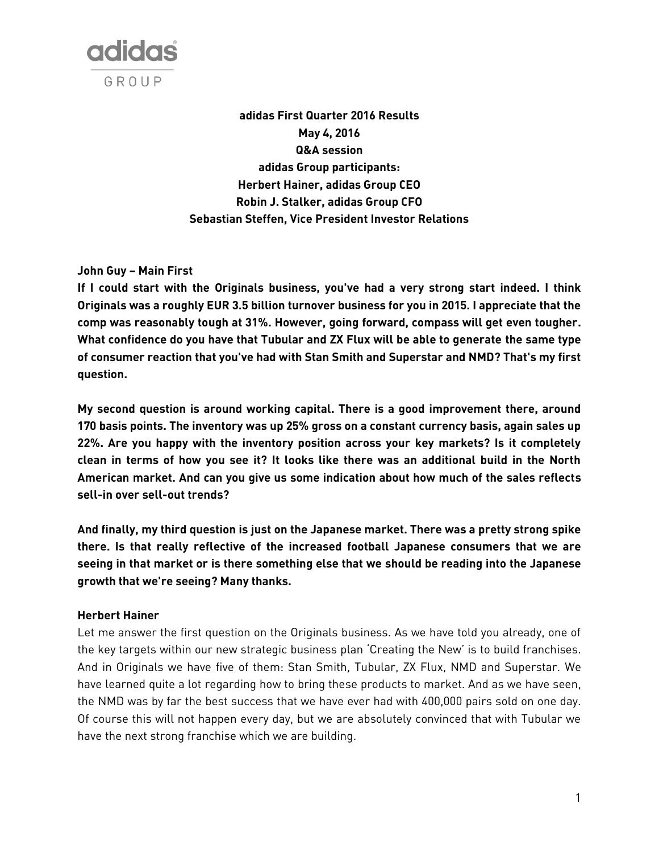

**adidas First Quarter 2016 Results May 4, 2016 Q&A session adidas Group participants: Herbert Hainer, adidas Group CEO Robin J. Stalker, adidas Group CFO Sebastian Steffen, Vice President Investor Relations**

# **John Guy – Main First**

**If I could start with the Originals business, you've had a very strong start indeed. I think Originals was a roughly EUR 3.5 billion turnover business for you in 2015. I appreciate that the comp was reasonably tough at 31%. However, going forward, compass will get even tougher. What confidence do you have that Tubular and ZX Flux will be able to generate the same type of consumer reaction that you've had with Stan Smith and Superstar and NMD? That's my first question.**

**My second question is around working capital. There is a good improvement there, around 170 basis points. The inventory was up 25% gross on a constant currency basis, again sales up 22%. Are you happy with the inventory position across your key markets? Is it completely clean in terms of how you see it? It looks like there was an additional build in the North American market. And can you give us some indication about how much of the sales reflects sell-in over sell-out trends?**

**And finally, my third question is just on the Japanese market. There was a pretty strong spike there. Is that really reflective of the increased football Japanese consumers that we are seeing in that market or is there something else that we should be reading into the Japanese growth that we're seeing? Many thanks.**

# **Herbert Hainer**

Let me answer the first question on the Originals business. As we have told you already, one of the key targets within our new strategic business plan 'Creating the New' is to build franchises. And in Originals we have five of them: Stan Smith, Tubular, ZX Flux, NMD and Superstar. We have learned quite a lot regarding how to bring these products to market. And as we have seen, the NMD was by far the best success that we have ever had with 400,000 pairs sold on one day. Of course this will not happen every day, but we are absolutely convinced that with Tubular we have the next strong franchise which we are building.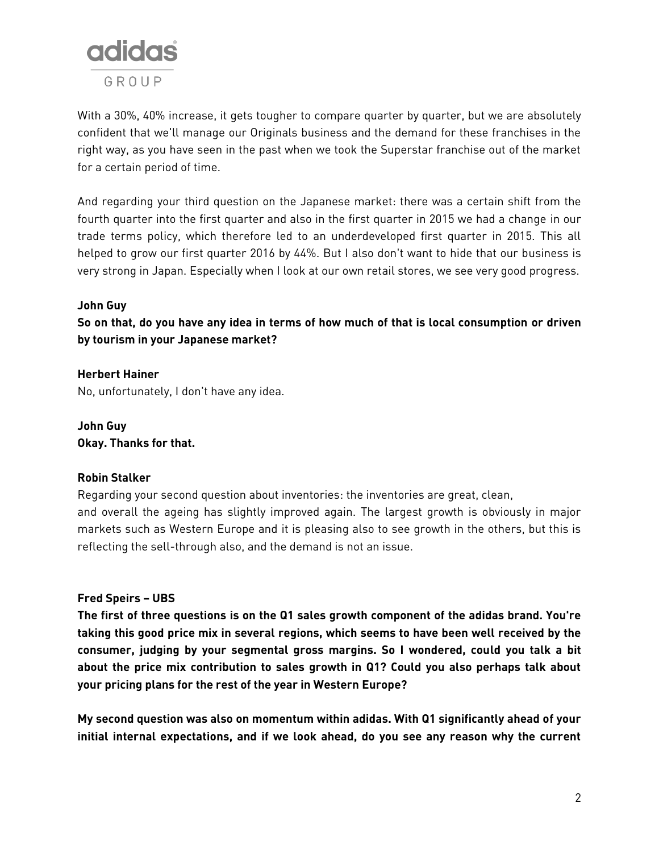

With a 30%, 40% increase, it gets tougher to compare quarter by quarter, but we are absolutely confident that we'll manage our Originals business and the demand for these franchises in the right way, as you have seen in the past when we took the Superstar franchise out of the market for a certain period of time.

And regarding your third question on the Japanese market: there was a certain shift from the fourth quarter into the first quarter and also in the first quarter in 2015 we had a change in our trade terms policy, which therefore led to an underdeveloped first quarter in 2015. This all helped to grow our first quarter 2016 by 44%. But I also don't want to hide that our business is very strong in Japan. Especially when I look at our own retail stores, we see very good progress.

# **John Guy**

**So on that, do you have any idea in terms of how much of that is local consumption or driven by tourism in your Japanese market?**

**Herbert Hainer** No, unfortunately, I don't have any idea.

**John Guy Okay. Thanks for that.**

# **Robin Stalker**

Regarding your second question about inventories: the inventories are great, clean, and overall the ageing has slightly improved again. The largest growth is obviously in major markets such as Western Europe and it is pleasing also to see growth in the others, but this is reflecting the sell-through also, and the demand is not an issue.

# **Fred Speirs – UBS**

**The first of three questions is on the Q1 sales growth component of the adidas brand. You're taking this good price mix in several regions, which seems to have been well received by the consumer, judging by your segmental gross margins. So I wondered, could you talk a bit about the price mix contribution to sales growth in Q1? Could you also perhaps talk about your pricing plans for the rest of the year in Western Europe?**

**My second question was also on momentum within adidas. With Q1 significantly ahead of your initial internal expectations, and if we look ahead, do you see any reason why the current**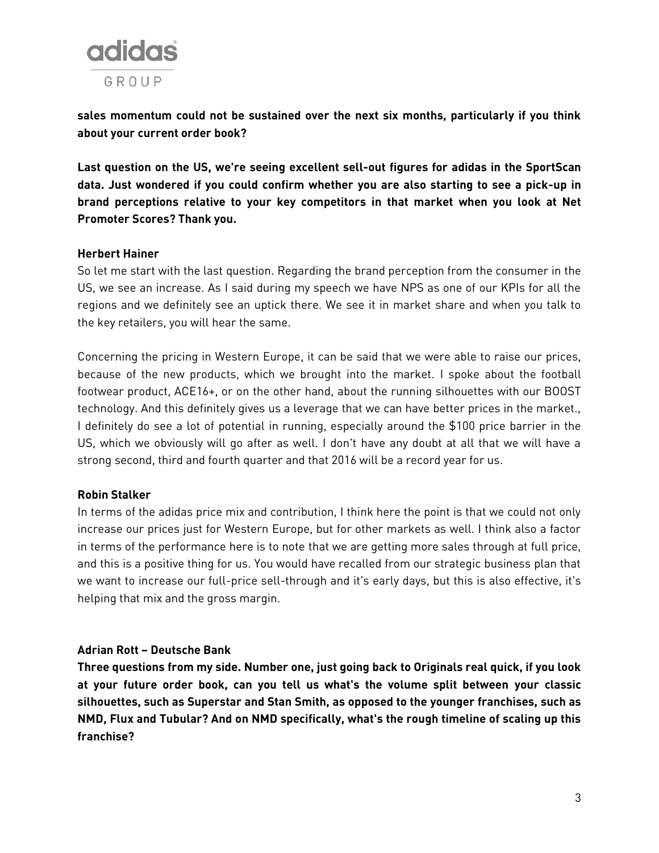

**sales momentum could not be sustained over the next six months, particularly if you think about your current order book?**

**Last question on the US, we're seeing excellent sell-out figures for adidas in the SportScan data. Just wondered if you could confirm whether you are also starting to see a pick-up in brand perceptions relative to your key competitors in that market when you look at Net Promoter Scores? Thank you.**

# **Herbert Hainer**

So let me start with the last question. Regarding the brand perception from the consumer in the US, we see an increase. As I said during my speech we have NPS as one of our KPIs for all the regions and we definitely see an uptick there. We see it in market share and when you talk to the key retailers, you will hear the same.

Concerning the pricing in Western Europe, it can be said that we were able to raise our prices, because of the new products, which we brought into the market. I spoke about the football footwear product, ACE16+, or on the other hand, about the running silhouettes with our BOOST technology. And this definitely gives us a leverage that we can have better prices in the market., I definitely do see a lot of potential in running, especially around the \$100 price barrier in the US, which we obviously will go after as well. I don't have any doubt at all that we will have a strong second, third and fourth quarter and that 2016 will be a record year for us.

# **Robin Stalker**

In terms of the adidas price mix and contribution, I think here the point is that we could not only increase our prices just for Western Europe, but for other markets as well. I think also a factor in terms of the performance here is to note that we are getting more sales through at full price, and this is a positive thing for us. You would have recalled from our strategic business plan that we want to increase our full-price sell-through and it's early days, but this is also effective, it's helping that mix and the gross margin.

#### **Adrian Rott – Deutsche Bank**

**Three questions from my side. Number one, just going back to Originals real quick, if you look at your future order book, can you tell us what's the volume split between your classic silhouettes, such as Superstar and Stan Smith, as opposed to the younger franchises, such as NMD, Flux and Tubular? And on NMD specifically, what's the rough timeline of scaling up this franchise?**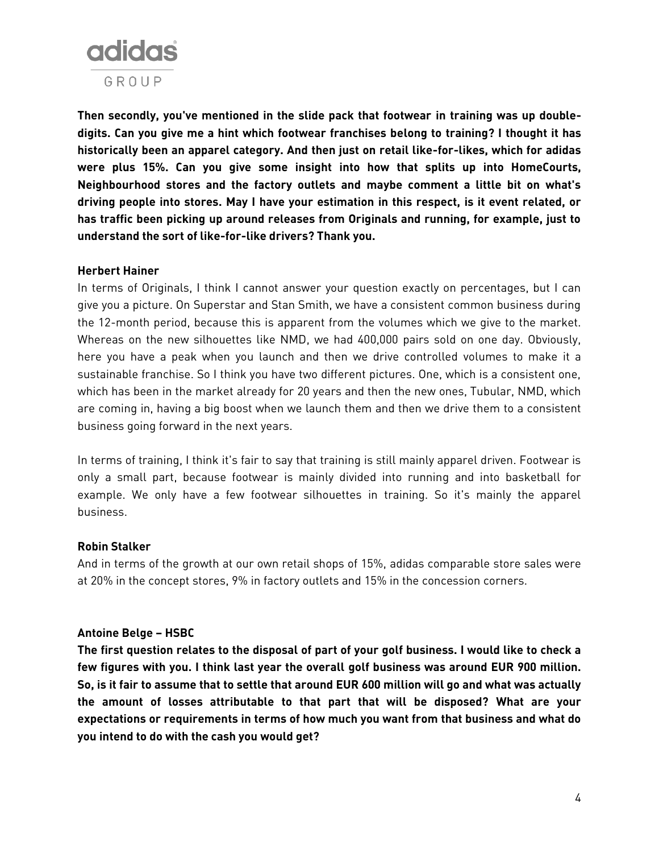

**Then secondly, you've mentioned in the slide pack that footwear in training was up doubledigits. Can you give me a hint which footwear franchises belong to training? I thought it has historically been an apparel category. And then just on retail like-for-likes, which for adidas were plus 15%. Can you give some insight into how that splits up into HomeCourts, Neighbourhood stores and the factory outlets and maybe comment a little bit on what's driving people into stores. May I have your estimation in this respect, is it event related, or has traffic been picking up around releases from Originals and running, for example, just to understand the sort of like-for-like drivers? Thank you.**

#### **Herbert Hainer**

In terms of Originals, I think I cannot answer your question exactly on percentages, but I can give you a picture. On Superstar and Stan Smith, we have a consistent common business during the 12-month period, because this is apparent from the volumes which we give to the market. Whereas on the new silhouettes like NMD, we had 400,000 pairs sold on one day. Obviously, here you have a peak when you launch and then we drive controlled volumes to make it a sustainable franchise. So I think you have two different pictures. One, which is a consistent one, which has been in the market already for 20 years and then the new ones, Tubular, NMD, which are coming in, having a big boost when we launch them and then we drive them to a consistent business going forward in the next years.

In terms of training, I think it's fair to say that training is still mainly apparel driven. Footwear is only a small part, because footwear is mainly divided into running and into basketball for example. We only have a few footwear silhouettes in training. So it's mainly the apparel business.

#### **Robin Stalker**

And in terms of the growth at our own retail shops of 15%, adidas comparable store sales were at 20% in the concept stores, 9% in factory outlets and 15% in the concession corners.

# **Antoine Belge – HSBC**

**The first question relates to the disposal of part of your golf business. I would like to check a few figures with you. I think last year the overall golf business was around EUR 900 million. So, is it fair to assume that to settle that around EUR 600 million will go and what was actually the amount of losses attributable to that part that will be disposed? What are your expectations or requirements in terms of how much you want from that business and what do you intend to do with the cash you would get?**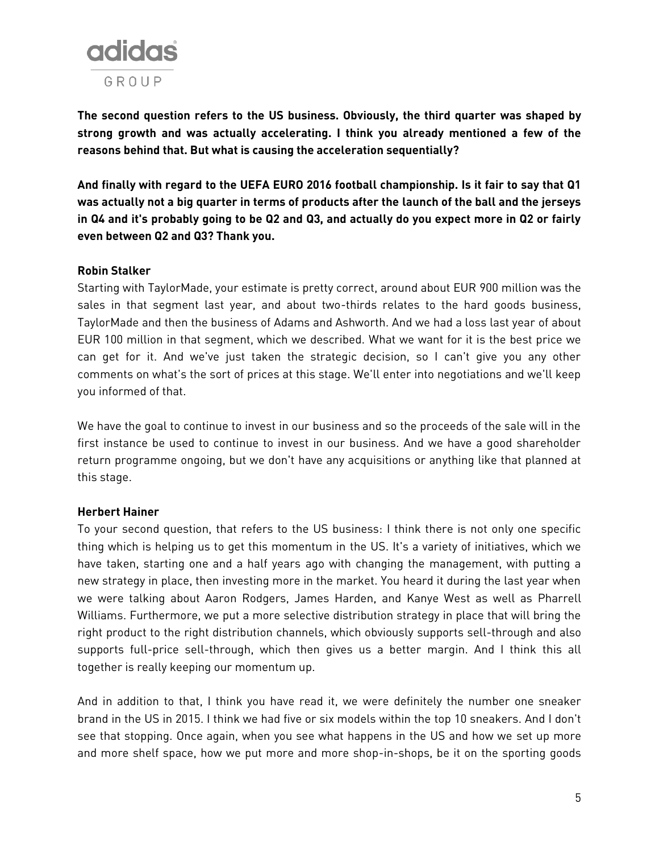

**The second question refers to the US business. Obviously, the third quarter was shaped by strong growth and was actually accelerating. I think you already mentioned a few of the reasons behind that. But what is causing the acceleration sequentially?**

**And finally with regard to the UEFA EURO 2016 football championship. Is it fair to say that Q1 was actually not a big quarter in terms of products after the launch of the ball and the jerseys in Q4 and it's probably going to be Q2 and Q3, and actually do you expect more in Q2 or fairly even between Q2 and Q3? Thank you.**

# **Robin Stalker**

Starting with TaylorMade, your estimate is pretty correct, around about EUR 900 million was the sales in that segment last year, and about two-thirds relates to the hard goods business, TaylorMade and then the business of Adams and Ashworth. And we had a loss last year of about EUR 100 million in that segment, which we described. What we want for it is the best price we can get for it. And we've just taken the strategic decision, so I can't give you any other comments on what's the sort of prices at this stage. We'll enter into negotiations and we'll keep you informed of that.

We have the goal to continue to invest in our business and so the proceeds of the sale will in the first instance be used to continue to invest in our business. And we have a good shareholder return programme ongoing, but we don't have any acquisitions or anything like that planned at this stage.

# **Herbert Hainer**

To your second question, that refers to the US business: I think there is not only one specific thing which is helping us to get this momentum in the US. It's a variety of initiatives, which we have taken, starting one and a half years ago with changing the management, with putting a new strategy in place, then investing more in the market. You heard it during the last year when we were talking about Aaron Rodgers, James Harden, and Kanye West as well as Pharrell Williams. Furthermore, we put a more selective distribution strategy in place that will bring the right product to the right distribution channels, which obviously supports sell-through and also supports full-price sell-through, which then gives us a better margin. And I think this all together is really keeping our momentum up.

And in addition to that, I think you have read it, we were definitely the number one sneaker brand in the US in 2015. I think we had five or six models within the top 10 sneakers. And I don't see that stopping. Once again, when you see what happens in the US and how we set up more and more shelf space, how we put more and more shop-in-shops, be it on the sporting goods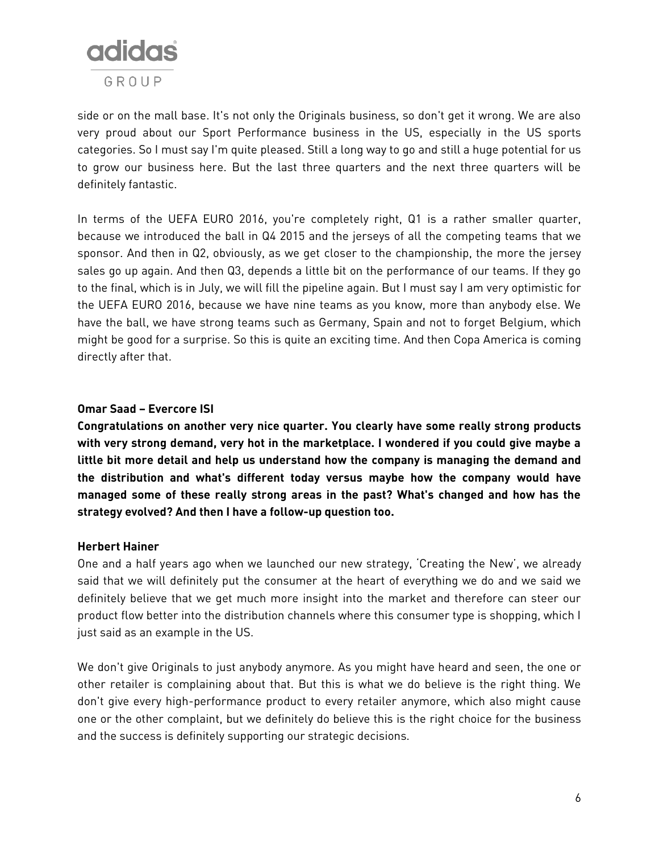

side or on the mall base. It's not only the Originals business, so don't get it wrong. We are also very proud about our Sport Performance business in the US, especially in the US sports categories. So I must say I'm quite pleased. Still a long way to go and still a huge potential for us to grow our business here. But the last three quarters and the next three quarters will be definitely fantastic.

In terms of the UEFA EURO 2016, you're completely right, Q1 is a rather smaller quarter, because we introduced the ball in Q4 2015 and the jerseys of all the competing teams that we sponsor. And then in Q2, obviously, as we get closer to the championship, the more the jersey sales go up again. And then Q3, depends a little bit on the performance of our teams. If they go to the final, which is in July, we will fill the pipeline again. But I must say I am very optimistic for the UEFA EURO 2016, because we have nine teams as you know, more than anybody else. We have the ball, we have strong teams such as Germany, Spain and not to forget Belgium, which might be good for a surprise. So this is quite an exciting time. And then Copa America is coming directly after that.

# **Omar Saad – Evercore ISI**

**Congratulations on another very nice quarter. You clearly have some really strong products with very strong demand, very hot in the marketplace. I wondered if you could give maybe a little bit more detail and help us understand how the company is managing the demand and the distribution and what's different today versus maybe how the company would have managed some of these really strong areas in the past? What's changed and how has the strategy evolved? And then I have a follow-up question too.**

# **Herbert Hainer**

One and a half years ago when we launched our new strategy, 'Creating the New', we already said that we will definitely put the consumer at the heart of everything we do and we said we definitely believe that we get much more insight into the market and therefore can steer our product flow better into the distribution channels where this consumer type is shopping, which I just said as an example in the US.

We don't give Originals to just anybody anymore. As you might have heard and seen, the one or other retailer is complaining about that. But this is what we do believe is the right thing. We don't give every high-performance product to every retailer anymore, which also might cause one or the other complaint, but we definitely do believe this is the right choice for the business and the success is definitely supporting our strategic decisions.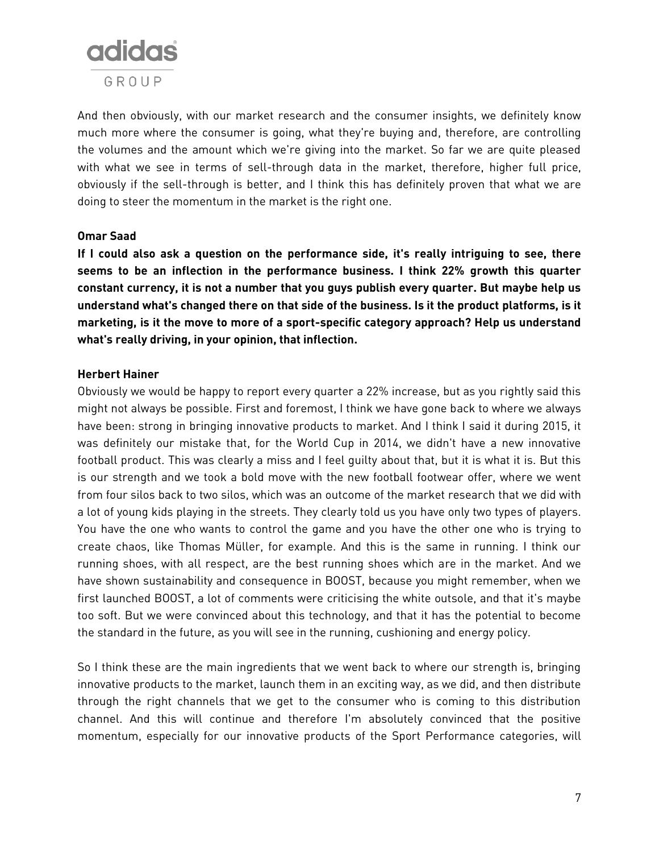

And then obviously, with our market research and the consumer insights, we definitely know much more where the consumer is going, what they're buying and, therefore, are controlling the volumes and the amount which we're giving into the market. So far we are quite pleased with what we see in terms of sell-through data in the market, therefore, higher full price, obviously if the sell-through is better, and I think this has definitely proven that what we are doing to steer the momentum in the market is the right one.

# **Omar Saad**

**If I could also ask a question on the performance side, it's really intriguing to see, there seems to be an inflection in the performance business. I think 22% growth this quarter constant currency, it is not a number that you guys publish every quarter. But maybe help us understand what's changed there on that side of the business. Is it the product platforms, is it marketing, is it the move to more of a sport-specific category approach? Help us understand what's really driving, in your opinion, that inflection.**

#### **Herbert Hainer**

Obviously we would be happy to report every quarter a 22% increase, but as you rightly said this might not always be possible. First and foremost, I think we have gone back to where we always have been: strong in bringing innovative products to market. And I think I said it during 2015, it was definitely our mistake that, for the World Cup in 2014, we didn't have a new innovative football product. This was clearly a miss and I feel guilty about that, but it is what it is. But this is our strength and we took a bold move with the new football footwear offer, where we went from four silos back to two silos, which was an outcome of the market research that we did with a lot of young kids playing in the streets. They clearly told us you have only two types of players. You have the one who wants to control the game and you have the other one who is trying to create chaos, like Thomas Müller, for example. And this is the same in running. I think our running shoes, with all respect, are the best running shoes which are in the market. And we have shown sustainability and consequence in BOOST, because you might remember, when we first launched BOOST, a lot of comments were criticising the white outsole, and that it's maybe too soft. But we were convinced about this technology, and that it has the potential to become the standard in the future, as you will see in the running, cushioning and energy policy.

So I think these are the main ingredients that we went back to where our strength is, bringing innovative products to the market, launch them in an exciting way, as we did, and then distribute through the right channels that we get to the consumer who is coming to this distribution channel. And this will continue and therefore I'm absolutely convinced that the positive momentum, especially for our innovative products of the Sport Performance categories, will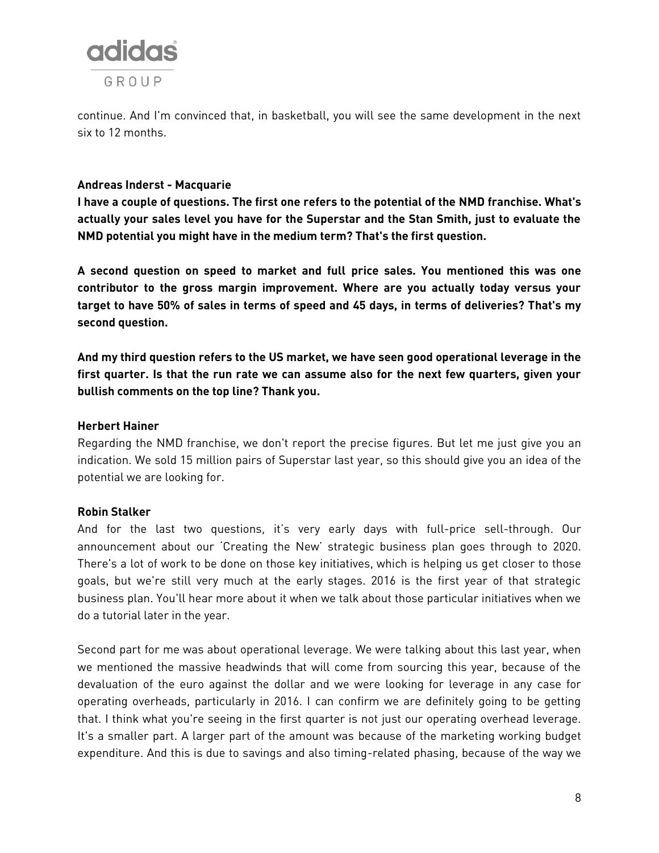

continue. And I'm convinced that, in basketball, you will see the same development in the next six to 12 months.

# **Andreas Inderst - Macquarie**

**I have a couple of questions. The first one refers to the potential of the NMD franchise. What's actually your sales level you have for the Superstar and the Stan Smith, just to evaluate the NMD potential you might have in the medium term? That's the first question.**

**A second question on speed to market and full price sales. You mentioned this was one contributor to the gross margin improvement. Where are you actually today versus your target to have 50% of sales in terms of speed and 45 days, in terms of deliveries? That's my second question.**

**And my third question refers to the US market, we have seen good operational leverage in the first quarter. Is that the run rate we can assume also for the next few quarters, given your bullish comments on the top line? Thank you.**

#### **Herbert Hainer**

Regarding the NMD franchise, we don't report the precise figures. But let me just give you an indication. We sold 15 million pairs of Superstar last year, so this should give you an idea of the potential we are looking for.

# **Robin Stalker**

And for the last two questions, it's very early days with full-price sell-through. Our announcement about our 'Creating the New' strategic business plan goes through to 2020. There's a lot of work to be done on those key initiatives, which is helping us get closer to those goals, but we're still very much at the early stages. 2016 is the first year of that strategic business plan. You'll hear more about it when we talk about those particular initiatives when we do a tutorial later in the year.

Second part for me was about operational leverage. We were talking about this last year, when we mentioned the massive headwinds that will come from sourcing this year, because of the devaluation of the euro against the dollar and we were looking for leverage in any case for operating overheads, particularly in 2016. I can confirm we are definitely going to be getting that. I think what you're seeing in the first quarter is not just our operating overhead leverage. It's a smaller part. A larger part of the amount was because of the marketing working budget expenditure. And this is due to savings and also timing-related phasing, because of the way we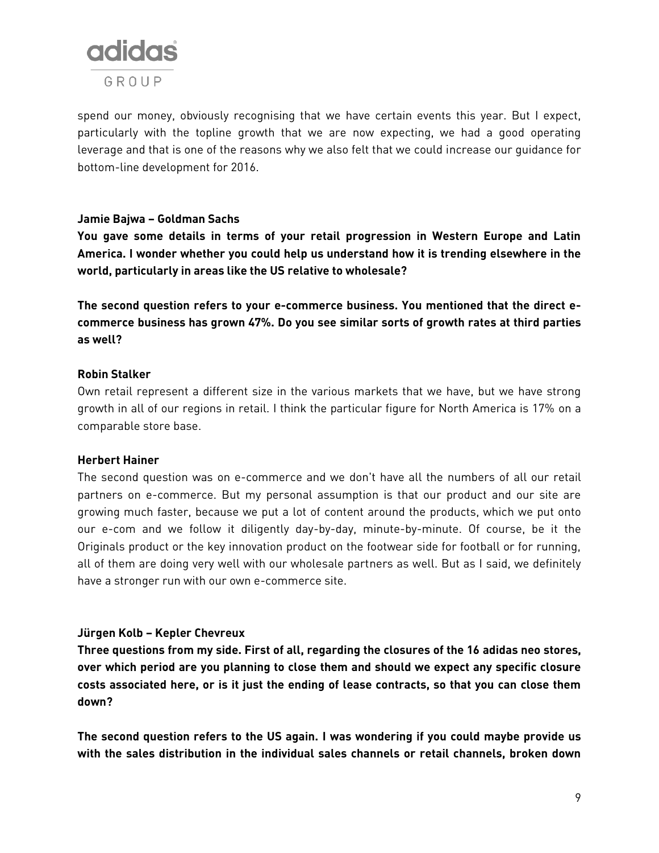

spend our money, obviously recognising that we have certain events this year. But I expect, particularly with the topline growth that we are now expecting, we had a good operating leverage and that is one of the reasons why we also felt that we could increase our guidance for bottom-line development for 2016.

# **Jamie Bajwa – Goldman Sachs**

**You gave some details in terms of your retail progression in Western Europe and Latin America. I wonder whether you could help us understand how it is trending elsewhere in the world, particularly in areas like the US relative to wholesale?**

**The second question refers to your e-commerce business. You mentioned that the direct ecommerce business has grown 47%. Do you see similar sorts of growth rates at third parties as well?** 

#### **Robin Stalker**

Own retail represent a different size in the various markets that we have, but we have strong growth in all of our regions in retail. I think the particular figure for North America is 17% on a comparable store base.

# **Herbert Hainer**

The second question was on e-commerce and we don't have all the numbers of all our retail partners on e-commerce. But my personal assumption is that our product and our site are growing much faster, because we put a lot of content around the products, which we put onto our e-com and we follow it diligently day-by-day, minute-by-minute. Of course, be it the Originals product or the key innovation product on the footwear side for football or for running, all of them are doing very well with our wholesale partners as well. But as I said, we definitely have a stronger run with our own e-commerce site.

# **Jürgen Kolb – Kepler Chevreux**

**Three questions from my side. First of all, regarding the closures of the 16 adidas neo stores, over which period are you planning to close them and should we expect any specific closure costs associated here, or is it just the ending of lease contracts, so that you can close them down?** 

**The second question refers to the US again. I was wondering if you could maybe provide us with the sales distribution in the individual sales channels or retail channels, broken down**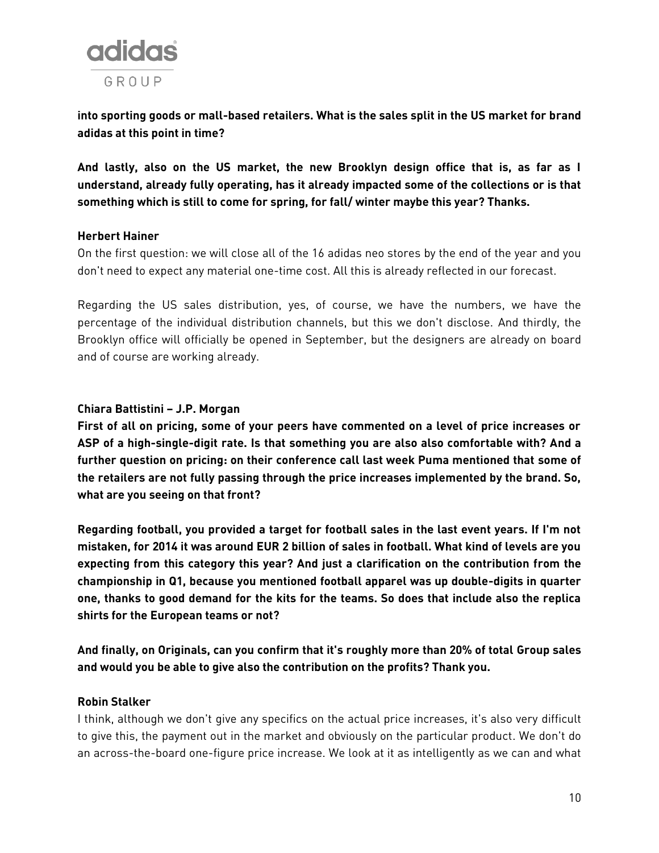

**into sporting goods or mall-based retailers. What is the sales split in the US market for brand adidas at this point in time?**

**And lastly, also on the US market, the new Brooklyn design office that is, as far as I understand, already fully operating, has it already impacted some of the collections or is that something which is still to come for spring, for fall/ winter maybe this year? Thanks.**

# **Herbert Hainer**

On the first question: we will close all of the 16 adidas neo stores by the end of the year and you don't need to expect any material one-time cost. All this is already reflected in our forecast.

Regarding the US sales distribution, yes, of course, we have the numbers, we have the percentage of the individual distribution channels, but this we don't disclose. And thirdly, the Brooklyn office will officially be opened in September, but the designers are already on board and of course are working already.

# **Chiara Battistini – J.P. Morgan**

**First of all on pricing, some of your peers have commented on a level of price increases or ASP of a high-single-digit rate. Is that something you are also also comfortable with? And a further question on pricing: on their conference call last week Puma mentioned that some of the retailers are not fully passing through the price increases implemented by the brand. So, what are you seeing on that front?**

**Regarding football, you provided a target for football sales in the last event years. If I'm not mistaken, for 2014 it was around EUR 2 billion of sales in football. What kind of levels are you expecting from this category this year? And just a clarification on the contribution from the championship in Q1, because you mentioned football apparel was up double-digits in quarter one, thanks to good demand for the kits for the teams. So does that include also the replica shirts for the European teams or not?**

**And finally, on Originals, can you confirm that it's roughly more than 20% of total Group sales and would you be able to give also the contribution on the profits? Thank you.**

#### **Robin Stalker**

I think, although we don't give any specifics on the actual price increases, it's also very difficult to give this, the payment out in the market and obviously on the particular product. We don't do an across-the-board one-figure price increase. We look at it as intelligently as we can and what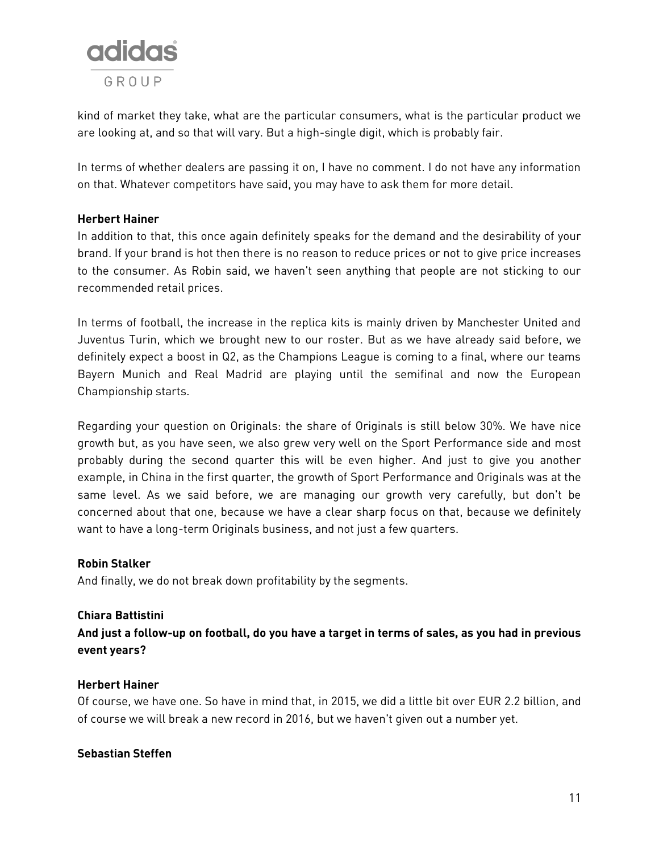

kind of market they take, what are the particular consumers, what is the particular product we are looking at, and so that will vary. But a high-single digit, which is probably fair.

In terms of whether dealers are passing it on, I have no comment. I do not have any information on that. Whatever competitors have said, you may have to ask them for more detail.

# **Herbert Hainer**

In addition to that, this once again definitely speaks for the demand and the desirability of your brand. If your brand is hot then there is no reason to reduce prices or not to give price increases to the consumer. As Robin said, we haven't seen anything that people are not sticking to our recommended retail prices.

In terms of football, the increase in the replica kits is mainly driven by Manchester United and Juventus Turin, which we brought new to our roster. But as we have already said before, we definitely expect a boost in Q2, as the Champions League is coming to a final, where our teams Bayern Munich and Real Madrid are playing until the semifinal and now the European Championship starts.

Regarding your question on Originals: the share of Originals is still below 30%. We have nice growth but, as you have seen, we also grew very well on the Sport Performance side and most probably during the second quarter this will be even higher. And just to give you another example, in China in the first quarter, the growth of Sport Performance and Originals was at the same level. As we said before, we are managing our growth very carefully, but don't be concerned about that one, because we have a clear sharp focus on that, because we definitely want to have a long-term Originals business, and not just a few quarters.

# **Robin Stalker**

And finally, we do not break down profitability by the segments.

# **Chiara Battistini**

**And just a follow-up on football, do you have a target in terms of sales, as you had in previous event years?**

# **Herbert Hainer**

Of course, we have one. So have in mind that, in 2015, we did a little bit over EUR 2.2 billion, and of course we will break a new record in 2016, but we haven't given out a number yet.

# **Sebastian Steffen**